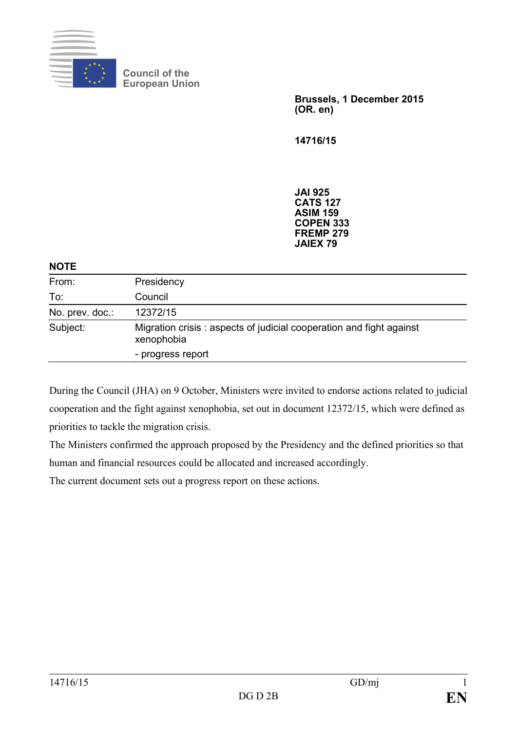

**Council of the European Union**

> **Brussels, 1 December 2015 (OR. en)**

**14716/15**

**JAI 925 CATS 127 ASIM 159 COPEN 333 FREMP 279 JAIEX 79**

#### **NOTE**

| From:           | Presidency                                                                        |
|-----------------|-----------------------------------------------------------------------------------|
| To:             | Council                                                                           |
| No. prev. doc.: | 12372/15                                                                          |
| Subject:        | Migration crisis: aspects of judicial cooperation and fight against<br>xenophobia |
|                 | - progress report                                                                 |

During the Council (JHA) on 9 October, Ministers were invited to endorse actions related to judicial cooperation and the fight against xenophobia, set out in document 12372/15, which were defined as priorities to tackle the migration crisis.

The Ministers confirmed the approach proposed by the Presidency and the defined priorities so that human and financial resources could be allocated and increased accordingly.

The current document sets out a progress report on these actions.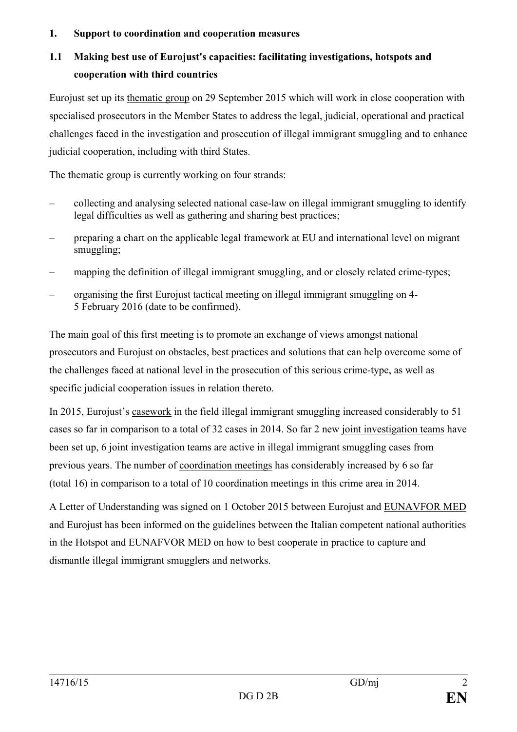#### **1. Support to coordination and cooperation measures**

## **1.1 Making best use of Eurojust's capacities: facilitating investigations, hotspots and cooperation with third countries**

Eurojust set up its thematic group on 29 September 2015 which will work in close cooperation with specialised prosecutors in the Member States to address the legal, judicial, operational and practical challenges faced in the investigation and prosecution of illegal immigrant smuggling and to enhance judicial cooperation, including with third States.

The thematic group is currently working on four strands:

- collecting and analysing selected national case-law on illegal immigrant smuggling to identify legal difficulties as well as gathering and sharing best practices;
- preparing a chart on the applicable legal framework at EU and international level on migrant smuggling;
- mapping the definition of illegal immigrant smuggling, and or closely related crime-types;
- organising the first Eurojust tactical meeting on illegal immigrant smuggling on 4- 5 February 2016 (date to be confirmed).

The main goal of this first meeting is to promote an exchange of views amongst national prosecutors and Eurojust on obstacles, best practices and solutions that can help overcome some of the challenges faced at national level in the prosecution of this serious crime-type, as well as specific judicial cooperation issues in relation thereto.

In 2015, Eurojust's casework in the field illegal immigrant smuggling increased considerably to 51 cases so far in comparison to a total of 32 cases in 2014. So far 2 new joint investigation teams have been set up, 6 joint investigation teams are active in illegal immigrant smuggling cases from previous years. The number of coordination meetings has considerably increased by 6 so far (total 16) in comparison to a total of 10 coordination meetings in this crime area in 2014.

A Letter of Understanding was signed on 1 October 2015 between Eurojust and EUNAVFOR MED and Eurojust has been informed on the guidelines between the Italian competent national authorities in the Hotspot and EUNAFVOR MED on how to best cooperate in practice to capture and dismantle illegal immigrant smugglers and networks.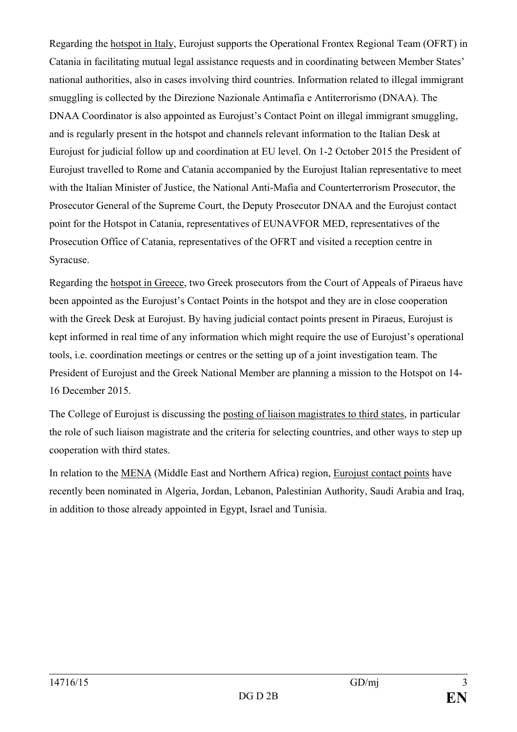Regarding the hotspot in Italy, Eurojust supports the Operational Frontex Regional Team (OFRT) in Catania in facilitating mutual legal assistance requests and in coordinating between Member States' national authorities, also in cases involving third countries. Information related to illegal immigrant smuggling is collected by the Direzione Nazionale Antimafia e Antiterrorismo (DNAA). The DNAA Coordinator is also appointed as Eurojust's Contact Point on illegal immigrant smuggling, and is regularly present in the hotspot and channels relevant information to the Italian Desk at Eurojust for judicial follow up and coordination at EU level. On 1-2 October 2015 the President of Eurojust travelled to Rome and Catania accompanied by the Eurojust Italian representative to meet with the Italian Minister of Justice, the National Anti-Mafia and Counterterrorism Prosecutor, the Prosecutor General of the Supreme Court, the Deputy Prosecutor DNAA and the Eurojust contact point for the Hotspot in Catania, representatives of EUNAVFOR MED, representatives of the Prosecution Office of Catania, representatives of the OFRT and visited a reception centre in Syracuse.

Regarding the hotspot in Greece, two Greek prosecutors from the Court of Appeals of Piraeus have been appointed as the Eurojust's Contact Points in the hotspot and they are in close cooperation with the Greek Desk at Eurojust. By having judicial contact points present in Piraeus, Eurojust is kept informed in real time of any information which might require the use of Eurojust's operational tools, i.e. coordination meetings or centres or the setting up of a joint investigation team. The President of Eurojust and the Greek National Member are planning a mission to the Hotspot on 14- 16 December 2015.

The College of Eurojust is discussing the posting of liaison magistrates to third states, in particular the role of such liaison magistrate and the criteria for selecting countries, and other ways to step up cooperation with third states.

In relation to the MENA (Middle East and Northern Africa) region, Eurojust contact points have recently been nominated in Algeria, Jordan, Lebanon, Palestinian Authority, Saudi Arabia and Iraq, in addition to those already appointed in Egypt, Israel and Tunisia.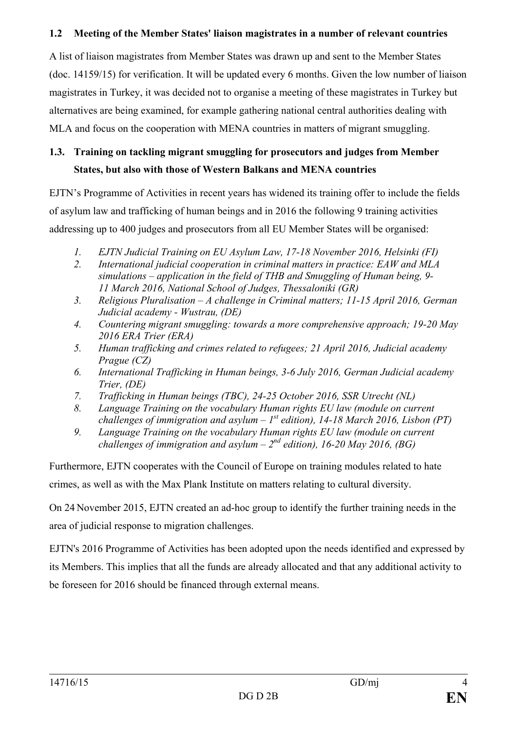#### **1.2 Meeting of the Member States' liaison magistrates in a number of relevant countries**

A list of liaison magistrates from Member States was drawn up and sent to the Member States (doc. 14159/15) for verification. It will be updated every 6 months. Given the low number of liaison magistrates in Turkey, it was decided not to organise a meeting of these magistrates in Turkey but alternatives are being examined, for example gathering national central authorities dealing with MLA and focus on the cooperation with MENA countries in matters of migrant smuggling.

## **1.3. Training on tackling migrant smuggling for prosecutors and judges from Member States, but also with those of Western Balkans and MENA countries**

EJTN's Programme of Activities in recent years has widened its training offer to include the fields of asylum law and trafficking of human beings and in 2016 the following 9 training activities addressing up to 400 judges and prosecutors from all EU Member States will be organised:

- *1. EJTN Judicial Training on EU Asylum Law, 17-18 November 2016, Helsinki (FI)*
- *2. International judicial cooperation in criminal matters in practice: EAW and MLA simulations – application in the field of THB and Smuggling of Human being, 9- 11 March 2016, National School of Judges, Thessaloniki (GR)*
- *3. Religious Pluralisation – A challenge in Criminal matters; 11-15 April 2016, German Judicial academy - Wustrau, (DE)*
- *4. Countering migrant smuggling: towards a more comprehensive approach; 19-20 May 2016 ERA Trier (ERA)*
- *5. Human trafficking and crimes related to refugees; 21 April 2016, Judicial academy Prague (CZ)*
- *6. International Trafficking in Human beings, 3-6 July 2016, German Judicial academy Trier, (DE)*
- *7. Trafficking in Human beings (TBC), 24-25 October 2016, SSR Utrecht (NL)*
- *8. Language Training on the vocabulary Human rights EU law (module on current challenges of immigration and asylum –*  $I^{st}$  *edition), 14-18 March 2016, Lisbon (PT)*
- *9. Language Training on the vocabulary Human rights EU law (module on current challenges of immigration and asylum –*  $2^{nd}$  *edition), 16-20 May 2016, (BG)*

Furthermore, EJTN cooperates with the Council of Europe on training modules related to hate crimes, as well as with the Max Plank Institute on matters relating to cultural diversity.

On 24 November 2015, EJTN created an ad-hoc group to identify the further training needs in the area of judicial response to migration challenges.

EJTN's 2016 Programme of Activities has been adopted upon the needs identified and expressed by its Members. This implies that all the funds are already allocated and that any additional activity to be foreseen for 2016 should be financed through external means.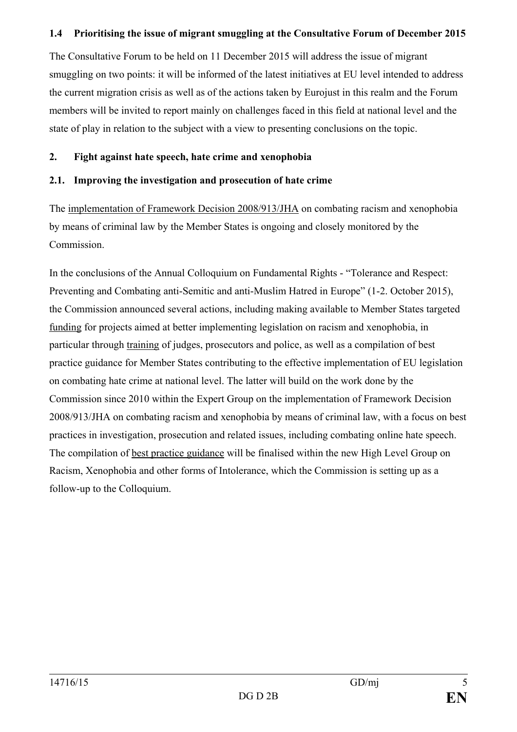#### **1.4 Prioritising the issue of migrant smuggling at the Consultative Forum of December 2015**

The Consultative Forum to be held on 11 December 2015 will address the issue of migrant smuggling on two points: it will be informed of the latest initiatives at EU level intended to address the current migration crisis as well as of the actions taken by Eurojust in this realm and the Forum members will be invited to report mainly on challenges faced in this field at national level and the state of play in relation to the subject with a view to presenting conclusions on the topic.

### **2. Fight against hate speech, hate crime and xenophobia**

### **2.1. Improving the investigation and prosecution of hate crime**

The implementation of Framework Decision 2008/913/JHA on combating racism and xenophobia by means of criminal law by the Member States is ongoing and closely monitored by the Commission.

In the conclusions of the Annual Colloquium on Fundamental Rights - "Tolerance and Respect: Preventing and Combating anti-Semitic and anti-Muslim Hatred in Europe" (1-2. October 2015), the Commission announced several actions, including making available to Member States targeted funding for projects aimed at better implementing legislation on racism and xenophobia, in particular through training of judges, prosecutors and police, as well as a compilation of best practice guidance for Member States contributing to the effective implementation of EU legislation on combating hate crime at national level. The latter will build on the work done by the Commission since 2010 within the Expert Group on the implementation of Framework Decision 2008/913/JHA on combating racism and xenophobia by means of criminal law, with a focus on best practices in investigation, prosecution and related issues, including combating online hate speech. The compilation of best practice guidance will be finalised within the new High Level Group on Racism, Xenophobia and other forms of Intolerance, which the Commission is setting up as a follow-up to the Colloquium.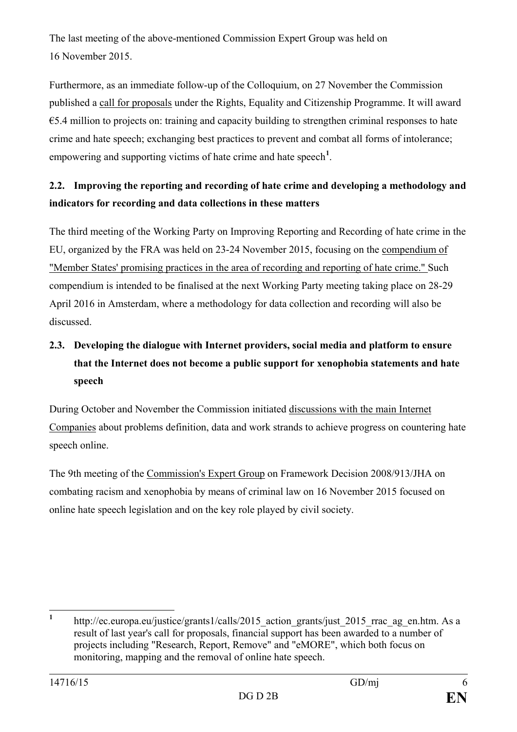The last meeting of the above-mentioned Commission Expert Group was held on 16 November 2015.

Furthermore, as an immediate follow-up of the Colloquium, on 27 November the Commission published a call for proposals under the Rights, Equality and Citizenship Programme. It will award  $\epsilon$ 5.4 million to projects on: training and capacity building to strengthen criminal responses to hate crime and hate speech; exchanging best practices to prevent and combat all forms of intolerance; empowering and supporting victims of hate crime and hate speech<sup>[1](#page-5-0)</sup>.

## **2.2. Improving the reporting and recording of hate crime and developing a methodology and indicators for recording and data collections in these matters**

The third meeting of the Working Party on Improving Reporting and Recording of hate crime in the EU, organized by the FRA was held on 23-24 November 2015, focusing on the compendium of "Member States' promising practices in the area of recording and reporting of hate crime." Such compendium is intended to be finalised at the next Working Party meeting taking place on 28-29 April 2016 in Amsterdam, where a methodology for data collection and recording will also be discussed.

# **2.3. Developing the dialogue with Internet providers, social media and platform to ensure that the Internet does not become a public support for xenophobia statements and hate speech**

During October and November the Commission initiated discussions with the main Internet Companies about problems definition, data and work strands to achieve progress on countering hate speech online.

The 9th meeting of the Commission's Expert Group on Framework Decision 2008/913/JHA on combating racism and xenophobia by means of criminal law on 16 November 2015 focused on online hate speech legislation and on the key role played by civil society.

<span id="page-5-0"></span><sup>&</sup>lt;sup>1</sup> http://ec.europa.eu/justice/grants1/calls/2015 action grants/just 2015 rrac ag\_en.htm. As a result of last year's call for proposals, financial support has been awarded to a number of projects including "Research, Report, Remove" and "eMORE", which both focus on monitoring, mapping and the removal of online hate speech.